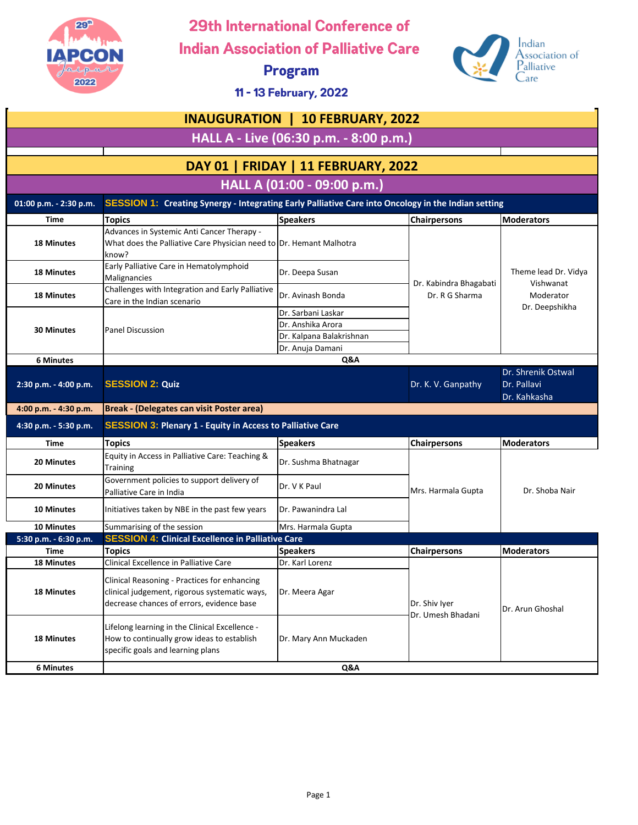

29th International Conference of

**Indian Association of Palliative Care** 

**Program** 



11 - 13 February, 2022

| <b>INAUGURATION   10 FEBRUARY, 2022</b> |                                                                                                                                            |                                                                                         |                                    |                                                   |  |
|-----------------------------------------|--------------------------------------------------------------------------------------------------------------------------------------------|-----------------------------------------------------------------------------------------|------------------------------------|---------------------------------------------------|--|
| HALL A - Live (06:30 p.m. - 8:00 p.m.)  |                                                                                                                                            |                                                                                         |                                    |                                                   |  |
|                                         |                                                                                                                                            |                                                                                         |                                    |                                                   |  |
|                                         |                                                                                                                                            | DAY 01   FRIDAY   11 FEBRUARY, 2022                                                     |                                    |                                                   |  |
|                                         |                                                                                                                                            | HALL A (01:00 - 09:00 p.m.)                                                             |                                    |                                                   |  |
| 01:00 p.m. - 2:30 p.m.                  | <b>SESSION 1: Creating Synergy - Integrating Early Palliative Care into Oncology in the Indian setting</b>                                 |                                                                                         |                                    |                                                   |  |
| <b>Time</b>                             | <b>Topics</b>                                                                                                                              | <b>Speakers</b>                                                                         | <b>Chairpersons</b>                | <b>Moderators</b>                                 |  |
| <b>18 Minutes</b>                       | Advances in Systemic Anti Cancer Therapy -<br>What does the Palliative Care Physician need to Dr. Hemant Malhotra<br>know?                 |                                                                                         |                                    |                                                   |  |
| <b>18 Minutes</b>                       | Early Palliative Care in Hematolymphoid<br>Malignancies                                                                                    | Dr. Deepa Susan                                                                         | Dr. Kabindra Bhagabati             | Theme lead Dr. Vidya<br>Vishwanat                 |  |
| <b>18 Minutes</b>                       | Challenges with Integration and Early Palliative<br>Care in the Indian scenario                                                            | Dr. Avinash Bonda                                                                       | Dr. R G Sharma                     | Moderator<br>Dr. Deepshikha                       |  |
| <b>30 Minutes</b>                       | <b>Panel Discussion</b>                                                                                                                    | Dr. Sarbani Laskar<br>Dr. Anshika Arora<br>Dr. Kalpana Balakrishnan<br>Dr. Anuja Damani |                                    |                                                   |  |
| <b>6 Minutes</b>                        |                                                                                                                                            | Q&A                                                                                     |                                    |                                                   |  |
| 2:30 p.m. - 4:00 p.m.                   | <b>SESSION 2: Quiz</b>                                                                                                                     |                                                                                         | Dr. K. V. Ganpathy                 | Dr. Shrenik Ostwal<br>Dr. Pallavi<br>Dr. Kahkasha |  |
| 4:00 p.m. - 4:30 p.m.                   | <b>Break - (Delegates can visit Poster area)</b>                                                                                           |                                                                                         |                                    |                                                   |  |
| 4:30 p.m. - 5:30 p.m.                   | <b>SESSION 3: Plenary 1 - Equity in Access to Palliative Care</b>                                                                          |                                                                                         |                                    |                                                   |  |
| <b>Time</b>                             | <b>Topics</b>                                                                                                                              | <b>Speakers</b>                                                                         | <b>Chairpersons</b>                | <b>Moderators</b>                                 |  |
| 20 Minutes                              | Equity in Access in Palliative Care: Teaching &<br><b>Training</b>                                                                         | Dr. Sushma Bhatnagar                                                                    |                                    |                                                   |  |
| 20 Minutes                              | Government policies to support delivery of<br>Palliative Care in India                                                                     | Dr. V K Paul                                                                            | Mrs. Harmala Gupta                 | Dr. Shoba Nair                                    |  |
| 10 Minutes                              | Initiatives taken by NBE in the past few years                                                                                             | Dr. Pawanindra Lal                                                                      |                                    |                                                   |  |
| <b>10 Minutes</b>                       | Summarising of the session                                                                                                                 | Mrs. Harmala Gupta                                                                      |                                    |                                                   |  |
| 5:30 p.m. - 6:30 p.m.                   | <b>SESSION 4: Clinical Excellence in Palliative Care</b>                                                                                   |                                                                                         |                                    |                                                   |  |
| <b>Time</b>                             | <b>Topics</b>                                                                                                                              | <b>Speakers</b>                                                                         | <b>Chairpersons</b>                | <b>Moderators</b>                                 |  |
| <b>18 Minutes</b>                       | Clinical Excellence in Palliative Care                                                                                                     | Dr. Karl Lorenz                                                                         |                                    |                                                   |  |
| <b>18 Minutes</b>                       | Clinical Reasoning - Practices for enhancing<br>clinical judgement, rigorous systematic ways,<br>decrease chances of errors, evidence base | Dr. Meera Agar                                                                          | Dr. Shiv Iyer<br>Dr. Umesh Bhadani | Dr. Arun Ghoshal                                  |  |
| <b>18 Minutes</b>                       | Lifelong learning in the Clinical Excellence -<br>How to continually grow ideas to establish<br>specific goals and learning plans          | Dr. Mary Ann Muckaden                                                                   |                                    |                                                   |  |
| <b>6 Minutes</b>                        |                                                                                                                                            | Q&A                                                                                     |                                    |                                                   |  |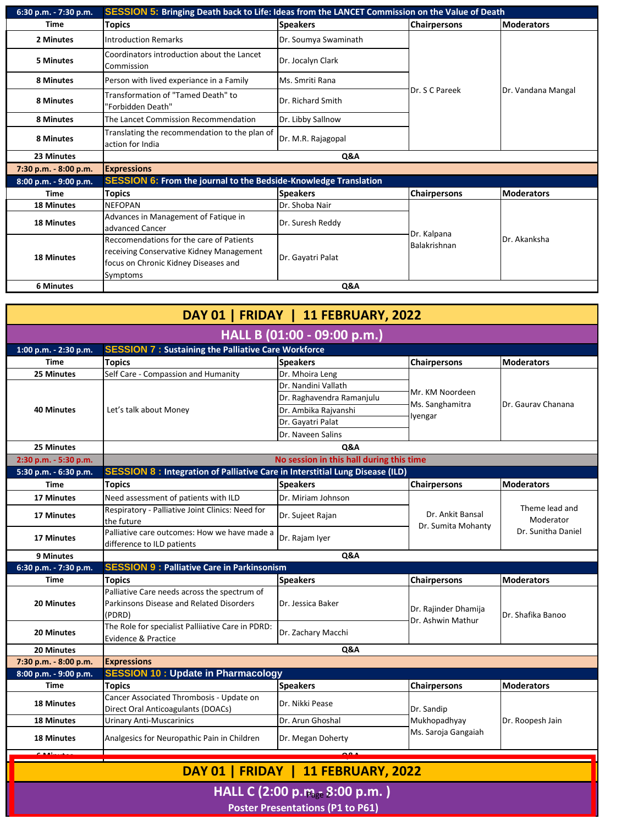| 6:30 p.m. - 7:30 p.m. | <b>SESSION 5: Bringing Death back to Life: Ideas from the LANCET Commission on the Value of Death</b>                                    |                      |                             |                       |  |
|-----------------------|------------------------------------------------------------------------------------------------------------------------------------------|----------------------|-----------------------------|-----------------------|--|
| <b>Time</b>           | <b>Topics</b>                                                                                                                            | <b>Speakers</b>      | <b>Chairpersons</b>         | <b>Moderators</b>     |  |
| 2 Minutes             | <b>Introduction Remarks</b>                                                                                                              | Dr. Soumya Swaminath | Dr. S C Pareek              | Dr. Vandana Mangal    |  |
| <b>5 Minutes</b>      | Coordinators introduction about the Lancet<br>Commission                                                                                 | Dr. Jocalyn Clark    |                             |                       |  |
| 8 Minutes             | Person with lived experiance in a Family                                                                                                 | Ms. Smriti Rana      |                             |                       |  |
| 8 Minutes             | Transformation of "Tamed Death" to<br>"Forbidden Death"                                                                                  | Dr. Richard Smith    |                             |                       |  |
| 8 Minutes             | The Lancet Commission Recommendation                                                                                                     | Dr. Libby Sallnow    |                             |                       |  |
| 8 Minutes             | Translating the recommendation to the plan of<br>action for India                                                                        | Dr. M.R. Rajagopal   |                             |                       |  |
| 23 Minutes            | Q&A                                                                                                                                      |                      |                             |                       |  |
| 7:30 p.m. - 8:00 p.m. | <b>Expressions</b>                                                                                                                       |                      |                             |                       |  |
| 8:00 p.m. - 9:00 p.m. | <b>SESSION 6: From the journal to the Bedside-Knowledge Translation</b>                                                                  |                      |                             |                       |  |
| <b>Time</b>           | Topics                                                                                                                                   | <b>Speakers</b>      | <b>Chairpersons</b>         | <b>Moderators</b>     |  |
| <b>18 Minutes</b>     | <b>NEFOPAN</b>                                                                                                                           | Dr. Shoba Nair       |                             |                       |  |
| <b>18 Minutes</b>     | Advances in Management of Fatique in<br>advanced Cancer                                                                                  | Dr. Suresh Reddy     | Dr. Kalpana<br>Balakrishnan | <b>I</b> Dr. Akanksha |  |
| <b>18 Minutes</b>     | Reccomendations for the care of Patients<br>receiving Conservative Kidney Management<br>focus on Chronic Kidney Diseases and<br>Symptoms | Dr. Gayatri Palat    |                             |                       |  |
| <b>6 Minutes</b>      | Q&A                                                                                                                                      |                      |                             |                       |  |

| DAY 01   FRIDAY   11 FEBRUARY, 2022 |                                                                                                    |                                          |                            |                                                   |  |  |  |  |
|-------------------------------------|----------------------------------------------------------------------------------------------------|------------------------------------------|----------------------------|---------------------------------------------------|--|--|--|--|
| HALL B (01:00 - 09:00 p.m.)         |                                                                                                    |                                          |                            |                                                   |  |  |  |  |
| 1:00 p.m. - 2:30 p.m.               | <b>SESSION 7: Sustaining the Palliative Care Workforce</b>                                         |                                          |                            |                                                   |  |  |  |  |
| <b>Time</b>                         | <b>Topics</b>                                                                                      | <b>Speakers</b>                          | <b>Chairpersons</b>        | <b>Moderators</b>                                 |  |  |  |  |
| 25 Minutes                          | Self Care - Compassion and Humanity                                                                | Dr. Mhoira Leng                          |                            |                                                   |  |  |  |  |
|                                     |                                                                                                    | IDr. Nandini Vallath                     |                            | <b>IDr. Gaurav Chanana</b>                        |  |  |  |  |
|                                     |                                                                                                    | Dr. Raghavendra Ramanjulu                | Mr. KM Noordeen            |                                                   |  |  |  |  |
| <b>40 Minutes</b>                   | Let's talk about Money                                                                             | Dr. Ambika Rajvanshi                     | Ms. Sanghamitra            |                                                   |  |  |  |  |
|                                     |                                                                                                    | Dr. Gayatri Palat                        | Iyengar                    |                                                   |  |  |  |  |
|                                     |                                                                                                    | Dr. Naveen Salins                        |                            |                                                   |  |  |  |  |
| 25 Minutes                          |                                                                                                    | Q&A                                      |                            |                                                   |  |  |  |  |
| 2:30 p.m. - 5:30 p.m.               |                                                                                                    | No session in this hall during this time |                            |                                                   |  |  |  |  |
| 5:30 p.m. - 6:30 p.m.               | <b>SESSION 8: Integration of Palliative Care in Interstitial Lung Disease (ILD)</b>                |                                          |                            |                                                   |  |  |  |  |
| <b>Time</b>                         | <b>Topics</b>                                                                                      | <b>Speakers</b>                          | <b>Chairpersons</b>        | <b>Moderators</b>                                 |  |  |  |  |
| <b>17 Minutes</b>                   | Need assessment of patients with ILD                                                               | Dr. Miriam Johnson                       |                            |                                                   |  |  |  |  |
| 17 Minutes                          | Respiratory - Palliative Joint Clinics: Need for<br>the future                                     | Dr. Sujeet Rajan                         | Dr. Ankit Bansal           | Theme lead and<br>Moderator<br>Dr. Sunitha Daniel |  |  |  |  |
| <b>17 Minutes</b>                   | Palliative care outcomes: How we have made a<br>difference to ILD patients                         | Dr. Rajam Iyer                           | Dr. Sumita Mohanty         |                                                   |  |  |  |  |
| 9 Minutes                           |                                                                                                    | <b>Q&amp;A</b>                           |                            |                                                   |  |  |  |  |
| 6:30 p.m. - 7:30 p.m.               | <b>SESSION 9: Palliative Care in Parkinsonism</b>                                                  |                                          |                            |                                                   |  |  |  |  |
| <b>Time</b>                         | <b>Topics</b>                                                                                      | <b>Speakers</b>                          | <b>Chairpersons</b>        | Moderators                                        |  |  |  |  |
| <b>20 Minutes</b>                   | Palliative Care needs across the spectrum of<br>Parkinsons Disease and Related Disorders<br>(PDRD) | Dr. Jessica Baker                        | Dr. Rajinder Dhamija       | <b>IDr. Shafika Banoo</b>                         |  |  |  |  |
| <b>20 Minutes</b>                   | The Role for specialist Palliiative Care in PDRD:<br><b>Evidence &amp; Practice</b>                | Dr. Zachary Macchi                       | Dr. Ashwin Mathur          |                                                   |  |  |  |  |
| <b>20 Minutes</b>                   |                                                                                                    | <b>Q&amp;A</b>                           |                            |                                                   |  |  |  |  |
| 7:30 p.m. - 8:00 p.m.               | <b>Expressions</b>                                                                                 |                                          |                            |                                                   |  |  |  |  |
| 8:00 p.m. - 9:00 p.m.               | <b>SESSION 10 : Update in Pharmacology</b>                                                         |                                          |                            |                                                   |  |  |  |  |
| <b>Time</b>                         | <b>Topics</b>                                                                                      | <b>Speakers</b>                          | <b>Chairpersons</b>        | <b>Moderators</b>                                 |  |  |  |  |
| <b>18 Minutes</b>                   | Cancer Associated Thrombosis - Update on<br>Direct Oral Anticoagulants (DOACs)                     | Dr. Nikki Pease                          | Dr. Sandip<br>Mukhopadhyay | Dr. Roopesh Jain                                  |  |  |  |  |
| <b>18 Minutes</b>                   | <b>Urinary Anti-Muscarinics</b>                                                                    | Dr. Arun Ghoshal                         |                            |                                                   |  |  |  |  |
| <b>18 Minutes</b>                   | Analgesics for Neuropathic Pain in Children                                                        | Dr. Megan Doherty                        | Ms. Saroja Gangaiah        |                                                   |  |  |  |  |
|                                     |                                                                                                    |                                          |                            |                                                   |  |  |  |  |
| DAY 01   FRIDAY   11 FEBRUARY, 2022 |                                                                                                    |                                          |                            |                                                   |  |  |  |  |
|                                     | HALL C $(2:00 \text{ p.m}_{\text{st}} 8:00 \text{ p.m.})$                                          |                                          |                            |                                                   |  |  |  |  |
|                                     |                                                                                                    |                                          |                            | <b>Poster Presentations (P1 to P61)</b>           |  |  |  |  |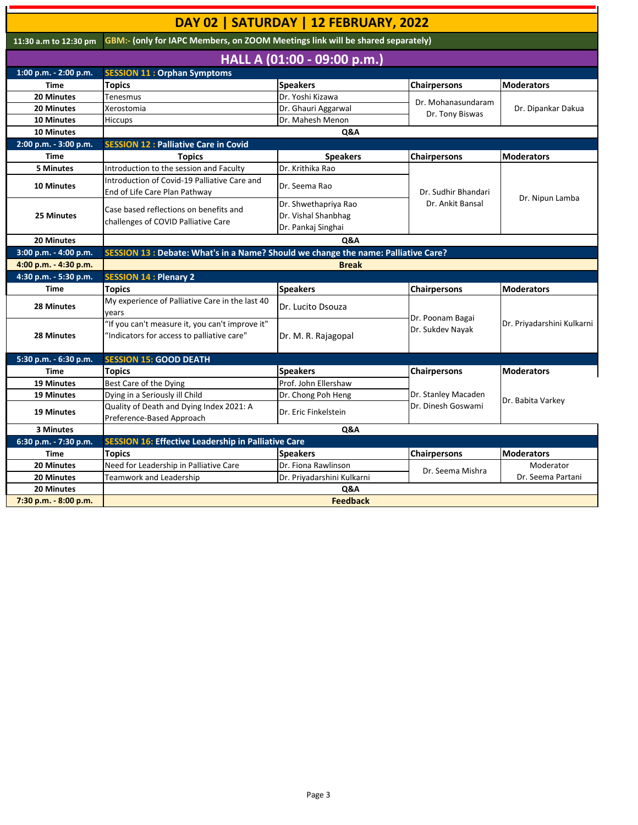|                                                                                                         |                                                                                               | DAY 02   SATURDAY   12 FEBRUARY, 2022                             |                                      |                            |  |
|---------------------------------------------------------------------------------------------------------|-----------------------------------------------------------------------------------------------|-------------------------------------------------------------------|--------------------------------------|----------------------------|--|
| GBM:- (only for IAPC Members, on ZOOM Meetings link will be shared separately)<br>11:30 a.m to 12:30 pm |                                                                                               |                                                                   |                                      |                            |  |
|                                                                                                         |                                                                                               | HALL A (01:00 - 09:00 p.m.)                                       |                                      |                            |  |
| 1:00 p.m. - 2:00 p.m.                                                                                   | <b>SESSION 11: Orphan Symptoms</b>                                                            |                                                                   |                                      |                            |  |
| <b>Time</b>                                                                                             | <b>Topics</b>                                                                                 | <b>Speakers</b>                                                   | <b>Chairpersons</b>                  | <b>Moderators</b>          |  |
| 20 Minutes                                                                                              | Tenesmus                                                                                      | Dr. Yoshi Kizawa                                                  |                                      | Dr. Dipankar Dakua         |  |
| <b>20 Minutes</b>                                                                                       | Xerostomia                                                                                    | Dr. Ghauri Aggarwal                                               | Dr. Mohanasundaram                   |                            |  |
| <b>10 Minutes</b>                                                                                       | Hiccups                                                                                       | Dr. Mahesh Menon                                                  | Dr. Tony Biswas                      |                            |  |
| <b>10 Minutes</b>                                                                                       |                                                                                               | Q&A                                                               |                                      |                            |  |
| 2:00 p.m. - 3:00 p.m.                                                                                   | <b>SESSION 12 : Palliative Care in Covid</b>                                                  |                                                                   |                                      |                            |  |
| <b>Time</b>                                                                                             | <b>Topics</b>                                                                                 | <b>Speakers</b>                                                   | <b>Chairpersons</b>                  | <b>Moderators</b>          |  |
| <b>5 Minutes</b>                                                                                        | Introduction to the session and Faculty                                                       | Dr. Krithika Rao                                                  |                                      |                            |  |
| <b>10 Minutes</b>                                                                                       | Introduction of Covid-19 Palliative Care and<br>End of Life Care Plan Pathway                 | Dr. Seema Rao                                                     | Dr. Sudhir Bhandari                  | Dr. Nipun Lamba            |  |
| 25 Minutes                                                                                              | Case based reflections on benefits and<br>challenges of COVID Palliative Care                 | Dr. Shwethapriya Rao<br>Dr. Vishal Shanbhag<br>Dr. Pankaj Singhai | Dr. Ankit Bansal                     |                            |  |
| 20 Minutes                                                                                              |                                                                                               | Q&A                                                               |                                      |                            |  |
| 3:00 p.m. - 4:00 p.m.                                                                                   | SESSION 13 : Debate: What's in a Name? Should we change the name: Palliative Care?            |                                                                   |                                      |                            |  |
| 4:00 p.m. - 4:30 p.m.                                                                                   |                                                                                               | <b>Break</b>                                                      |                                      |                            |  |
| 4:30 p.m. - 5:30 p.m.                                                                                   | <b>SESSION 14 : Plenary 2</b>                                                                 |                                                                   |                                      |                            |  |
| <b>Time</b>                                                                                             | <b>Topics</b>                                                                                 | <b>Speakers</b>                                                   | <b>Chairpersons</b>                  | Moderators                 |  |
| <b>28 Minutes</b>                                                                                       | My experience of Palliative Care in the last 40<br>years                                      | Dr. Lucito Dsouza                                                 |                                      |                            |  |
| <b>28 Minutes</b>                                                                                       | "If you can't measure it, you can't improve it"<br>"Indicators for access to palliative care" | Dr. M. R. Rajagopal                                               | Dr. Poonam Bagai<br>Dr. Sukdev Nayak | Dr. Priyadarshini Kulkarni |  |
| 5:30 p.m. - 6:30 p.m.                                                                                   | <b>SESSION 15: GOOD DEATH</b>                                                                 |                                                                   |                                      |                            |  |
| Time                                                                                                    | <b>Topics</b>                                                                                 | <b>Speakers</b>                                                   | <b>Chairpersons</b>                  | <b>Moderators</b>          |  |
| 19 Minutes                                                                                              | Best Care of the Dying                                                                        | Prof. John Ellershaw                                              |                                      |                            |  |
| <b>19 Minutes</b>                                                                                       | Dying in a Seriously ill Child                                                                | Dr. Chong Poh Heng                                                | Dr. Stanley Macaden                  | Dr. Babita Varkey          |  |
| 19 Minutes                                                                                              | Quality of Death and Dying Index 2021: A<br>Preference-Based Approach                         | Dr. Eric Finkelstein                                              | Dr. Dinesh Goswami                   |                            |  |
| 3 Minutes                                                                                               | Q&A                                                                                           |                                                                   |                                      |                            |  |
| 6:30 p.m. - 7:30 p.m.                                                                                   | <b>SESSION 16: Effective Leadership in Palliative Care</b>                                    |                                                                   |                                      |                            |  |
| <b>Time</b>                                                                                             | <b>Topics</b>                                                                                 | <b>Speakers</b>                                                   | <b>Chairpersons</b>                  | <b>Moderators</b>          |  |
| 20 Minutes                                                                                              | Need for Leadership in Palliative Care                                                        | Dr. Fiona Rawlinson                                               |                                      | Moderator                  |  |
| 20 Minutes                                                                                              | Teamwork and Leadership                                                                       | Dr. Priyadarshini Kulkarni                                        | Dr. Seema Mishra                     | Dr. Seema Partani          |  |
| 20 Minutes                                                                                              |                                                                                               | Q&A                                                               |                                      |                            |  |
| 7:30 p.m. - 8:00 p.m.                                                                                   | <b>Feedback</b>                                                                               |                                                                   |                                      |                            |  |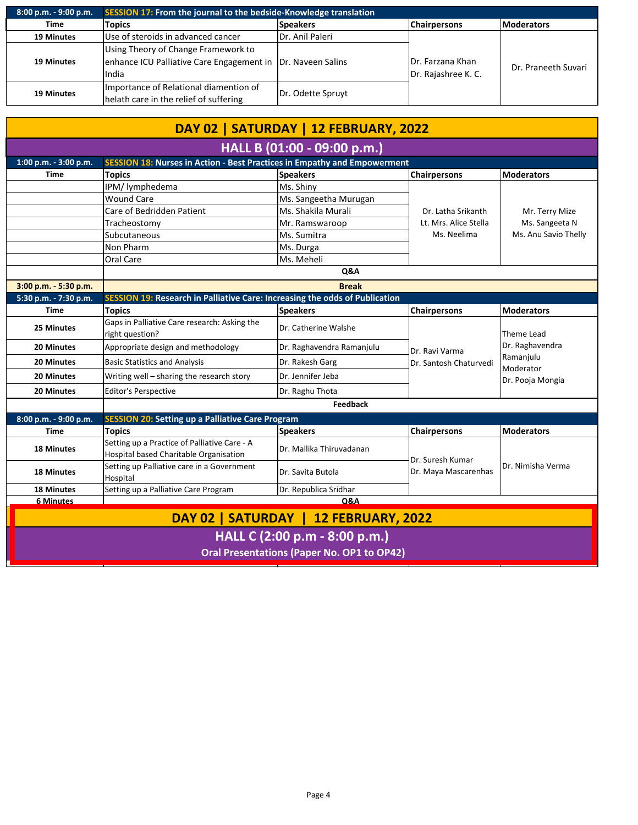| 8:00 p.m. - 9:00 p.m. | <b>SESSION 17: From the journal to the bedside-Knowledge translation</b>                                              |                   |                                         |                     |
|-----------------------|-----------------------------------------------------------------------------------------------------------------------|-------------------|-----------------------------------------|---------------------|
| <b>Time</b>           | Topics                                                                                                                | <b>Speakers</b>   | <b>Chairpersons</b>                     | <b>Moderators</b>   |
| <b>19 Minutes</b>     | Use of steroids in advanced cancer                                                                                    | Dr. Anil Paleri   | Dr. Farzana Khan<br>Dr. Rajashree K. C. | Dr. Praneeth Suvari |
| <b>19 Minutes</b>     | Using Theory of Change Framework to<br>enhance ICU Palliative Care Engagement in   Dr. Naveen Salins<br><b>I</b> ndia |                   |                                         |                     |
| <b>19 Minutes</b>     | Importance of Relational diamention of<br>helath care in the relief of suffering                                      | Dr. Odette Spruyt |                                         |                     |

| DAY 02   SATURDAY   12 FEBRUARY, 2022                                              |                                                                                        |                           |                        |                                                                             |  |
|------------------------------------------------------------------------------------|----------------------------------------------------------------------------------------|---------------------------|------------------------|-----------------------------------------------------------------------------|--|
| HALL B (01:00 - 09:00 p.m.)                                                        |                                                                                        |                           |                        |                                                                             |  |
| 1:00 p.m. - 3:00 p.m.                                                              | <b>SESSION 18: Nurses in Action - Best Practices in Empathy and Empowerment</b>        |                           |                        |                                                                             |  |
| <b>Time</b>                                                                        | <b>Topics</b>                                                                          | <b>Speakers</b>           | <b>Chairpersons</b>    | <b>Moderators</b>                                                           |  |
|                                                                                    | IPM/ lymphedema                                                                        | Ms. Shiny                 |                        |                                                                             |  |
|                                                                                    | <b>Wound Care</b>                                                                      | Ms. Sangeetha Murugan     |                        | Mr. Terry Mize<br>Ms. Sangeeta N                                            |  |
|                                                                                    | Care of Bedridden Patient                                                              | Ms. Shakila Murali        | Dr. Latha Srikanth     |                                                                             |  |
|                                                                                    | Tracheostomy                                                                           | Mr. Ramswaroop            | Lt. Mrs. Alice Stella  |                                                                             |  |
|                                                                                    | Subcutaneous                                                                           | Ms. Sumitra               | Ms. Neelima            | Ms. Anu Savio Thelly                                                        |  |
|                                                                                    | Non Pharm                                                                              | Ms. Durga                 |                        |                                                                             |  |
|                                                                                    | Oral Care                                                                              | Ms. Meheli                |                        |                                                                             |  |
|                                                                                    |                                                                                        | Q&A                       |                        |                                                                             |  |
| 3:00 p.m. - 5:30 p.m.                                                              | <b>Break</b>                                                                           |                           |                        |                                                                             |  |
| 5:30 p.m. - 7:30 p.m.                                                              | <b>SESSION 19: Research in Palliative Care: Increasing the odds of Publication</b>     |                           |                        |                                                                             |  |
| <b>Time</b>                                                                        | <b>Topics</b>                                                                          | <b>Speakers</b>           | <b>Chairpersons</b>    | <b>Moderators</b>                                                           |  |
| 25 Minutes                                                                         | Gaps in Palliative Care research: Asking the<br>right question?                        | Dr. Catherine Walshe      |                        | Theme Lead<br>Dr. Raghavendra<br>Ramanjulu<br>Moderator<br>Dr. Pooja Mongia |  |
| 20 Minutes                                                                         | Appropriate design and methodology                                                     | Dr. Raghavendra Ramanjulu | Dr. Ravi Varma         |                                                                             |  |
| <b>20 Minutes</b>                                                                  | <b>Basic Statistics and Analysis</b>                                                   | Dr. Rakesh Garg           | Dr. Santosh Chaturvedi |                                                                             |  |
| <b>20 Minutes</b>                                                                  | Writing well - sharing the research story                                              | Dr. Jennifer Jeba         |                        |                                                                             |  |
| <b>20 Minutes</b>                                                                  | <b>Editor's Perspective</b>                                                            | Dr. Raghu Thota           |                        |                                                                             |  |
|                                                                                    |                                                                                        | <b>Feedback</b>           |                        |                                                                             |  |
| 8:00 p.m. - 9:00 p.m.                                                              | <b>SESSION 20: Setting up a Palliative Care Program</b>                                |                           |                        |                                                                             |  |
| <b>Time</b>                                                                        | <b>Topics</b>                                                                          | <b>Speakers</b>           | <b>Chairpersons</b>    | <b>Moderators</b>                                                           |  |
| <b>18 Minutes</b>                                                                  | Setting up a Practice of Palliative Care - A<br>Hospital based Charitable Organisation | Dr. Mallika Thiruvadanan  | Dr. Suresh Kumar       | Dr. Nimisha Verma                                                           |  |
| <b>18 Minutes</b>                                                                  | Setting up Palliative care in a Government<br>Hospital                                 | Dr. Savita Butola         | Dr. Maya Mascarenhas   |                                                                             |  |
| <b>18 Minutes</b>                                                                  | Setting up a Palliative Care Program                                                   | Dr. Republica Sridhar     |                        |                                                                             |  |
| <b>Q&amp;A</b><br><b>6 Minutes</b>                                                 |                                                                                        |                           |                        |                                                                             |  |
| DAY 02   SATURDAY   12 FEBRUARY, 2022                                              |                                                                                        |                           |                        |                                                                             |  |
| HALL C (2:00 p.m - 8:00 p.m.)<br><b>Oral Presentations (Paper No. OP1 to OP42)</b> |                                                                                        |                           |                        |                                                                             |  |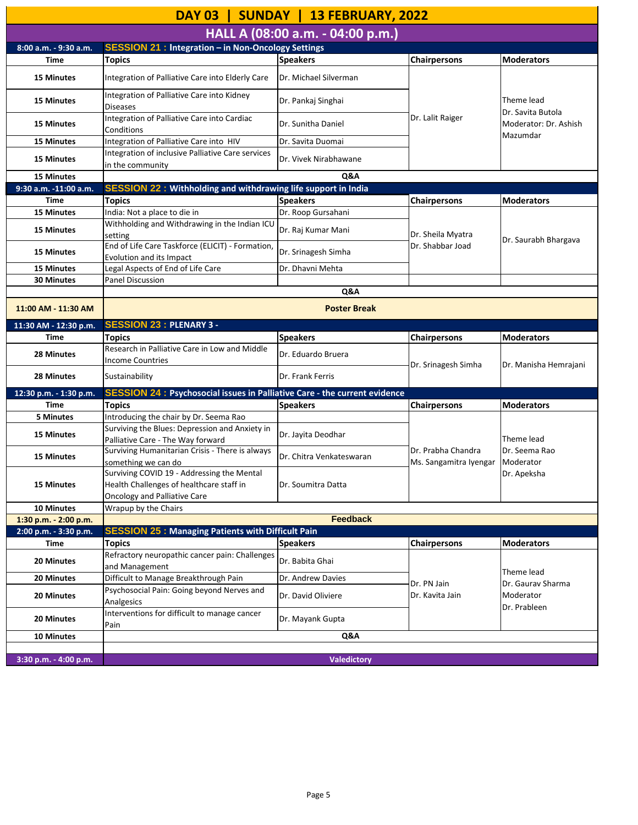| DAY 03   SUNDAY   13 FEBRUARY, 2022            |                                                                                                                               |                          |                                              |                                                                      |  |
|------------------------------------------------|-------------------------------------------------------------------------------------------------------------------------------|--------------------------|----------------------------------------------|----------------------------------------------------------------------|--|
| HALL A (08:00 a.m. - 04:00 p.m.)               |                                                                                                                               |                          |                                              |                                                                      |  |
| 8:00 a.m. - 9:30 a.m.                          | <b>SESSION 21 : Integration - in Non-Oncology Settings</b>                                                                    |                          |                                              |                                                                      |  |
| <b>Time</b>                                    | <b>Topics</b>                                                                                                                 | <b>Speakers</b>          | <b>Chairpersons</b>                          | <b>Moderators</b>                                                    |  |
| <b>15 Minutes</b>                              | Integration of Palliative Care into Elderly Care                                                                              | Dr. Michael Silverman    |                                              |                                                                      |  |
| <b>15 Minutes</b>                              | Integration of Palliative Care into Kidney<br><b>Diseases</b>                                                                 | Dr. Pankaj Singhai       | Dr. Lalit Raiger                             | Theme lead<br>Dr. Savita Butola<br>Moderator: Dr. Ashish<br>Mazumdar |  |
| <b>15 Minutes</b>                              | Integration of Palliative Care into Cardiac<br>Conditions                                                                     | Dr. Sunitha Daniel       |                                              |                                                                      |  |
| <b>15 Minutes</b>                              | Integration of Palliative Care into HIV                                                                                       | Dr. Savita Duomai        |                                              |                                                                      |  |
| <b>15 Minutes</b>                              | Integration of inclusive Palliative Care services<br>in the community                                                         | Dr. Vivek Nirabhawane    |                                              |                                                                      |  |
| <b>15 Minutes</b>                              |                                                                                                                               | Q&A                      |                                              |                                                                      |  |
| 9:30 a.m. -11:00 a.m.                          | <b>SESSION 22: Withholding and withdrawing life support in India</b>                                                          |                          |                                              |                                                                      |  |
| <b>Time</b>                                    | <b>Topics</b>                                                                                                                 | <b>Speakers</b>          | <b>Chairpersons</b>                          | <b>Moderators</b>                                                    |  |
| <b>15 Minutes</b>                              | India: Not a place to die in                                                                                                  | Dr. Roop Gursahani       |                                              |                                                                      |  |
| <b>15 Minutes</b>                              | Withholding and Withdrawing in the Indian ICU<br>setting                                                                      | Dr. Raj Kumar Mani       | Dr. Sheila Myatra                            |                                                                      |  |
| <b>15 Minutes</b>                              | End of Life Care Taskforce (ELICIT) - Formation,<br>Evolution and its Impact                                                  | Dr. Srinagesh Simha      | Dr. Shabbar Joad                             | Dr. Saurabh Bhargava                                                 |  |
| <b>15 Minutes</b>                              | Legal Aspects of End of Life Care                                                                                             | Dr. Dhavni Mehta         |                                              |                                                                      |  |
| <b>30 Minutes</b>                              | <b>Panel Discussion</b>                                                                                                       |                          |                                              |                                                                      |  |
|                                                |                                                                                                                               | Q&A                      |                                              |                                                                      |  |
| 11:00 AM - 11:30 AM                            |                                                                                                                               | <b>Poster Break</b>      |                                              |                                                                      |  |
| 11:30 AM - 12:30 p.m.                          | <b>SESSION 23 : PLENARY 3 -</b>                                                                                               |                          |                                              |                                                                      |  |
| <b>Time</b>                                    | <b>Topics</b>                                                                                                                 | <b>Speakers</b>          | <b>Chairpersons</b>                          | <b>Moderators</b>                                                    |  |
| <b>28 Minutes</b>                              | Research in Palliative Care in Low and Middle<br><b>Income Countries</b>                                                      | Dr. Eduardo Bruera       | Dr. Srinagesh Simha                          | Dr. Manisha Hemrajani                                                |  |
| 28 Minutes                                     | Sustainability                                                                                                                | Dr. Frank Ferris         |                                              |                                                                      |  |
| 12:30 p.m. - 1:30 p.m.                         | <b>SESSION 24 : Psychosocial issues in Palliative Care - the current evidence</b>                                             |                          |                                              |                                                                      |  |
| <b>Time</b>                                    | <b>Topics</b>                                                                                                                 | <b>Speakers</b>          | <b>Chairpersons</b>                          | <b>Moderators</b>                                                    |  |
| 5 Minutes                                      | Introducing the chair by Dr. Seema Rao                                                                                        |                          |                                              | Theme lead<br>Dr. Seema Rao<br>Moderator                             |  |
| 15 Minutes                                     | Surviving the Blues: Depression and Anxiety in<br>Palliative Care - The Way forward                                           | Dr. Jayita Deodhar       |                                              |                                                                      |  |
| <b>15 Minutes</b>                              | Surviving Humanitarian Crisis - There is always<br>something we can do                                                        | Dr. Chitra Venkateswaran | Dr. Prabha Chandra<br>Ms. Sangamitra Iyengar |                                                                      |  |
| <b>15 Minutes</b>                              | Surviving COVID 19 - Addressing the Mental<br>Health Challenges of healthcare staff in<br><b>Oncology and Palliative Care</b> | Dr. Soumitra Datta       |                                              | Dr. Apeksha                                                          |  |
| <b>10 Minutes</b>                              | Wrapup by the Chairs                                                                                                          |                          |                                              |                                                                      |  |
| 1:30 p.m. - 2:00 p.m.<br>2:00 p.m. - 3:30 p.m. | <b>Feedback</b><br><b>SESSION 25 : Managing Patients with Difficult Pain</b>                                                  |                          |                                              |                                                                      |  |
| <b>Time</b>                                    | <b>Topics</b>                                                                                                                 | <b>Speakers</b>          | <b>Chairpersons</b>                          | <b>Moderators</b>                                                    |  |
|                                                | Refractory neuropathic cancer pain: Challenges                                                                                |                          |                                              |                                                                      |  |
| <b>20 Minutes</b>                              | and Management                                                                                                                | Dr. Babita Ghai          |                                              |                                                                      |  |
| 20 Minutes                                     | Difficult to Manage Breakthrough Pain                                                                                         | Dr. Andrew Davies        |                                              | Theme lead                                                           |  |
| 20 Minutes                                     | Psychosocial Pain: Going beyond Nerves and<br>Analgesics                                                                      | Dr. David Oliviere       | Dr. PN Jain<br>Dr. Kavita Jain               | Dr. Gaurav Sharma<br>Moderator                                       |  |
| <b>20 Minutes</b>                              | Interventions for difficult to manage cancer<br>Pain                                                                          | Dr. Mayank Gupta         |                                              | Dr. Prableen                                                         |  |
| <b>10 Minutes</b>                              |                                                                                                                               | Q&A                      |                                              |                                                                      |  |
|                                                |                                                                                                                               |                          |                                              |                                                                      |  |
| 3:30 p.m. - 4:00 p.m.                          |                                                                                                                               | <b>Valedictory</b>       |                                              |                                                                      |  |